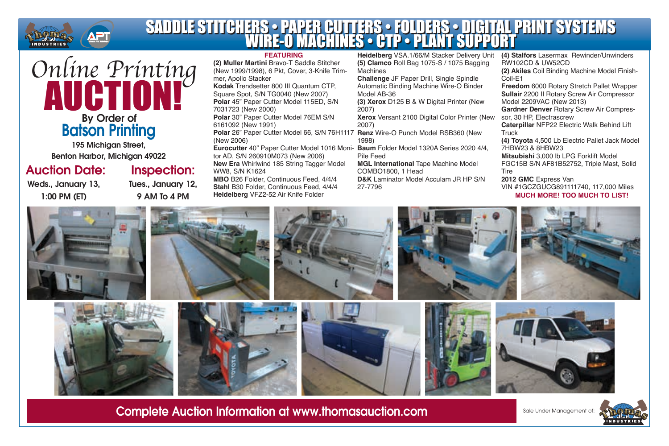

#### **(4) Stalfors** Lasermax Rewinder/Unwinders SADDLE STITCHERS • PAPER CUTTERS • FOLDERS • DIGITAL PRINT SYSTEMS WIRE-O MACHINES • CTP • PLANT SUPPORT SADDLE STITCHERS • PAPER CUTTERS • FOLDERS • DIGITAL PRINT SYSTEMS WIRE-O MACHINES • CTP • PLANT SUPPORT

# By Order of Batson Printing *Online Printing* AUCTION!

195 Michigan Street, Benton Harbor, Michigan 49022

## Auction Date:

Weds., January 13, 1:00 PM (ET)

## Inspection:

Tues., January 12, 9 AM To 4 PM

#### **FEATURING**

**(2) Muller Martini** Bravo-T Saddle Stitcher (New 1999/1998), 6 Pkt, Cover, 3-Knife Trimmer, Apollo Stacker

**Kodak** Trendsetter 800 III Quantum CTP, Square Spot, S/N TG0040 (New 2007) **Polar** 45" Paper Cutter Model 115ED, S/N 7031723 (New 2000)

**Polar** 30" Paper Cutter Model 76EM S/N 6161092 (New 1991)

(New 2006)

tor AD, S/N 260910M073 (New 2006) **New Era** Whirlwind 185 String Tagger Model WW8, S/N K1624

**MBO** B26 Folder, Continuous Feed, 4/4/4 **Stahl** B30 Folder, Continuous Feed, 4/4/4 **Heidelberg** VFZ2-52 Air Knife Folder

**Heidelberg** VSA.1/66/M Stacker Delivery Unit **(5) Clamco** Roll Bag 1075-S / 1075 Bagging Machines

**Challenge** JF Paper Drill, Single Spindle Automatic Binding Machine Wire-O Binder Model AB-36

**(3) Xerox** D125 B & W Digital Printer (New 2007)

**Xerox** Versant 2100 Digital Color Printer (New 2007)

**Polar** 26" Paper Cutter Model 66, S/N 76H1117 **Renz** Wire-O Punch Model RSB360 (New 1998)

**Eurocutter** 40" Paper Cutter Model 1016 Moni-**Baum** Folder Model 1320A Series 2020 4/4, Pile Feed

**MGL International** Tape Machine Model COMBO1800, 1 Head **D&K** Laminator Model Acculam JR HP S/N

27-7796

RW102CD & UW52CD **(2) Akiles** Coil Binding Machine Model Finish-Coil-E1 **Freedom** 6000 Rotary Stretch Pallet Wrapper **Sullair** 2200 II Rotary Screw Air Compressor Model 2209VAC (New 2013) **Gardner Denver** Rotary Screw Air Compressor, 30 HP, Electrascrew **Caterpillar** NFP22 Electric Walk Behind Lift **Truck (4) Toyota** 4,500 Lb Electric Pallet Jack Model 7HBW23 & 8HBW23 **Mitsubishi** 3,000 lb LPG Forklift Model FGC15B S/N AF81B52752, Triple Mast, Solid **Tire 2012 GMC** Express Van

VIN #1GCZGUCG891111740, 117,000 Miles **MUCH MORE! TOO MUCH TO LIST!**





















Complete Auction Information at www.thomasauction.com